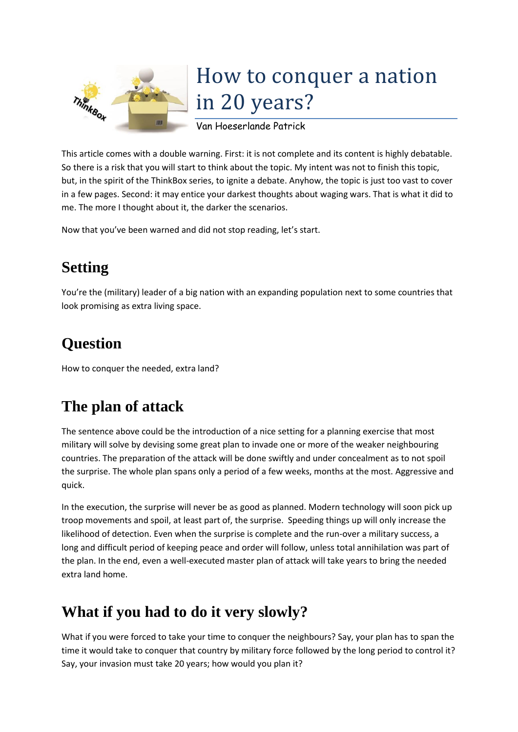

# How to conquer a nation in 20 years?

Van Hoeserlande Patrick

This article comes with a double warning. First: it is not complete and its content is highly debatable. So there is a risk that you will start to think about the topic. My intent was not to finish this topic, but, in the spirit of the ThinkBox series, to ignite a debate. Anyhow, the topic is just too vast to cover in a few pages. Second: it may entice your darkest thoughts about waging wars. That is what it did to me. The more I thought about it, the darker the scenarios.

Now that you've been warned and did not stop reading, let's start.

# **Setting**

You're the (military) leader of a big nation with an expanding population next to some countries that look promising as extra living space.

# **Question**

How to conquer the needed, extra land?

## **The plan of attack**

The sentence above could be the introduction of a nice setting for a planning exercise that most military will solve by devising some great plan to invade one or more of the weaker neighbouring countries. The preparation of the attack will be done swiftly and under concealment as to not spoil the surprise. The whole plan spans only a period of a few weeks, months at the most. Aggressive and quick.

In the execution, the surprise will never be as good as planned. Modern technology will soon pick up troop movements and spoil, at least part of, the surprise. Speeding things up will only increase the likelihood of detection. Even when the surprise is complete and the run-over a military success, a long and difficult period of keeping peace and order will follow, unless total annihilation was part of the plan. In the end, even a well-executed master plan of attack will take years to bring the needed extra land home.

## **What if you had to do it very slowly?**

What if you were forced to take your time to conquer the neighbours? Say, your plan has to span the time it would take to conquer that country by military force followed by the long period to control it? Say, your invasion must take 20 years; how would you plan it?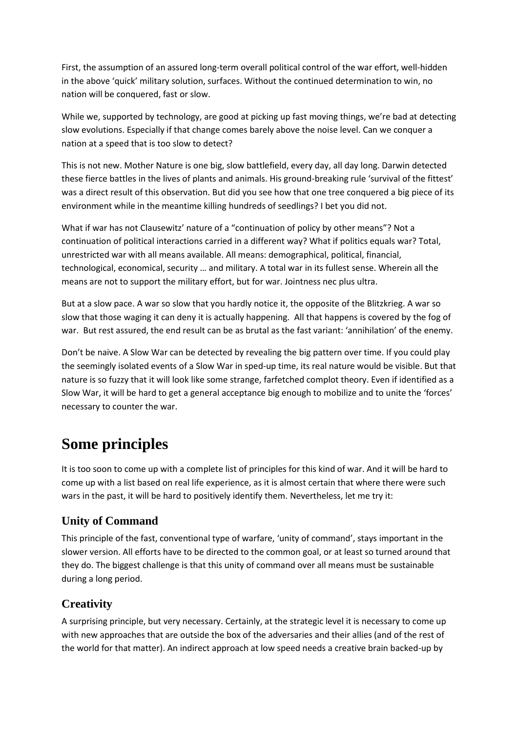First, the assumption of an assured long-term overall political control of the war effort, well-hidden in the above 'quick' military solution, surfaces. Without the continued determination to win, no nation will be conquered, fast or slow.

While we, supported by technology, are good at picking up fast moving things, we're bad at detecting slow evolutions. Especially if that change comes barely above the noise level. Can we conquer a nation at a speed that is too slow to detect?

This is not new. Mother Nature is one big, slow battlefield, every day, all day long. Darwin detected these fierce battles in the lives of plants and animals. His ground-breaking rule 'survival of the fittest' was a direct result of this observation. But did you see how that one tree conquered a big piece of its environment while in the meantime killing hundreds of seedlings? I bet you did not.

What if war has not Clausewitz' nature of a "continuation of [policy](https://en.wikiquote.org/wiki/Policy) by other means"? Not a continuation of political interactions carried in a different way? What if politics equals war? Total, unrestricted war with all means available. All means: demographical, political, financial, technological, economical, security … and military. A total war in its fullest sense. Wherein all the means are not to support the military effort, but for war. Jointness nec plus ultra.

But at a slow pace. A war so slow that you hardly notice it, the opposite of the Blitzkrieg. A war so slow that those waging it can deny it is actually happening. All that happens is covered by the fog of war. But rest assured, the end result can be as brutal as the fast variant: 'annihilation' of the enemy.

Don't be naive. A Slow War can be detected by revealing the big pattern over time. If you could play the seemingly isolated events of a Slow War in sped-up time, its real nature would be visible. But that nature is so fuzzy that it will look like some strange, farfetched complot theory. Even if identified as a Slow War, it will be hard to get a general acceptance big enough to mobilize and to unite the 'forces' necessary to counter the war.

## **Some principles**

It is too soon to come up with a complete list of principles for this kind of war. And it will be hard to come up with a list based on real life experience, as it is almost certain that where there were such wars in the past, it will be hard to positively identify them. Nevertheless, let me try it:

#### **Unity of Command**

This principle of the fast, conventional type of warfare, 'unity of command', stays important in the slower version. All efforts have to be directed to the common goal, or at least so turned around that they do. The biggest challenge is that this unity of command over all means must be sustainable during a long period.

#### **Creativity**

A surprising principle, but very necessary. Certainly, at the strategic level it is necessary to come up with new approaches that are outside the box of the adversaries and their allies (and of the rest of the world for that matter). An indirect approach at low speed needs a creative brain backed-up by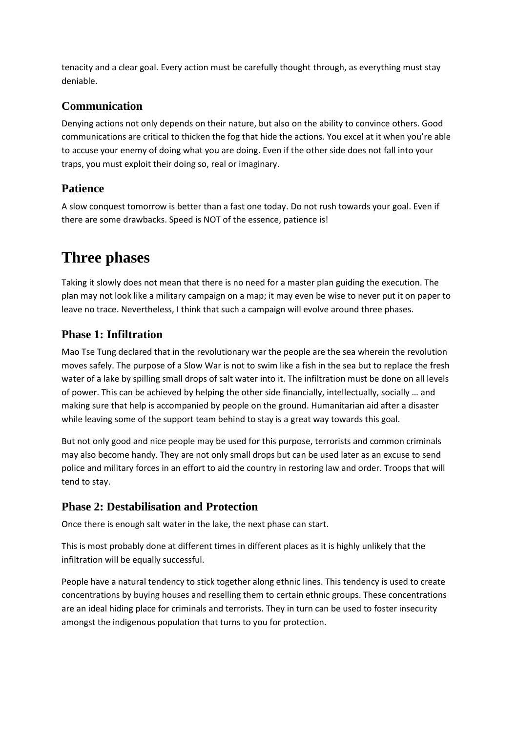tenacity and a clear goal. Every action must be carefully thought through, as everything must stay deniable.

#### **Communication**

Denying actions not only depends on their nature, but also on the ability to convince others. Good communications are critical to thicken the fog that hide the actions. You excel at it when you're able to accuse your enemy of doing what you are doing. Even if the other side does not fall into your traps, you must exploit their doing so, real or imaginary.

#### **Patience**

A slow conquest tomorrow is better than a fast one today. Do not rush towards your goal. Even if there are some drawbacks. Speed is NOT of the essence, patience is!

### **Three phases**

Taking it slowly does not mean that there is no need for a master plan guiding the execution. The plan may not look like a military campaign on a map; it may even be wise to never put it on paper to leave no trace. Nevertheless, I think that such a campaign will evolve around three phases.

#### **Phase 1: Infiltration**

Mao Tse Tung declared that in the revolutionary war the people are the sea wherein the revolution moves safely. The purpose of a Slow War is not to swim like a fish in the sea but to replace the fresh water of a lake by spilling small drops of salt water into it. The infiltration must be done on all levels of power. This can be achieved by helping the other side financially, intellectually, socially … and making sure that help is accompanied by people on the ground. Humanitarian aid after a disaster while leaving some of the support team behind to stay is a great way towards this goal.

But not only good and nice people may be used for this purpose, terrorists and common criminals may also become handy. They are not only small drops but can be used later as an excuse to send police and military forces in an effort to aid the country in restoring law and order. Troops that will tend to stay.

#### **Phase 2: Destabilisation and Protection**

Once there is enough salt water in the lake, the next phase can start.

This is most probably done at different times in different places as it is highly unlikely that the infiltration will be equally successful.

People have a natural tendency to stick together along ethnic lines. This tendency is used to create concentrations by buying houses and reselling them to certain ethnic groups. These concentrations are an ideal hiding place for criminals and terrorists. They in turn can be used to foster insecurity amongst the indigenous population that turns to you for protection.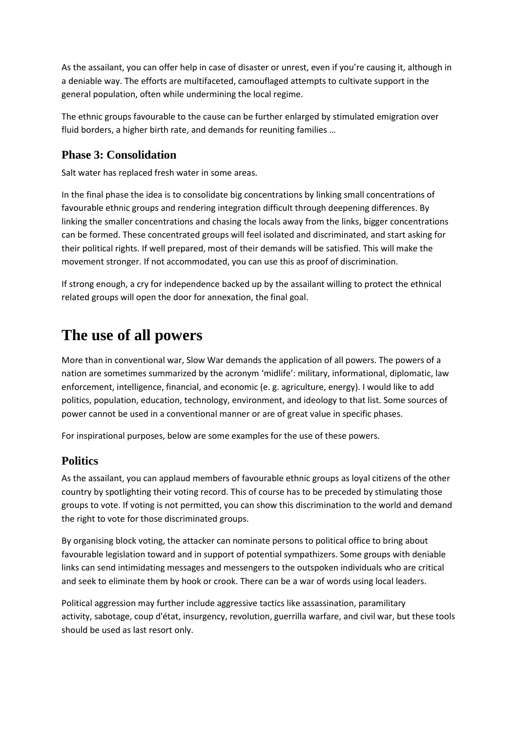As the assailant, you can offer help in case of disaster or unrest, even if you're causing it, although in a deniable way. The efforts are multifaceted, camouflaged attempts to cultivate support in the general population, often while undermining the local regime.

The ethnic groups favourable to the cause can be further enlarged by stimulated emigration over fluid borders, a higher birth rate, and demands for reuniting families …

#### **Phase 3: Consolidation**

Salt water has replaced fresh water in some areas.

In the final phase the idea is to consolidate big concentrations by linking small concentrations of favourable ethnic groups and rendering integration difficult through deepening differences. By linking the smaller concentrations and chasing the locals away from the links, bigger concentrations can be formed. These concentrated groups will feel isolated and discriminated, and start asking for their political rights. If well prepared, most of their demands will be satisfied. This will make the movement stronger. If not accommodated, you can use this as proof of discrimination.

If strong enough, a cry for independence backed up by the assailant willing to protect the ethnical related groups will open the door for annexation, the final goal.

### **The use of all powers**

More than in conventional war, Slow War demands the application of all powers. The powers of a nation are sometimes summarized by the acronym 'midlife': military, informational, diplomatic, law enforcement, intelligence, financial, and economic (e. g. agriculture, energy). I would like to add politics, population, education, technology, environment, and ideology to that list. Some sources of power cannot be used in a conventional manner or are of great value in specific phases.

For inspirational purposes, below are some examples for the use of these powers.

#### **Politics**

As the assailant, you can applaud members of favourable ethnic groups as loyal citizens of the other country by spotlighting their voting record. This of course has to be preceded by stimulating those groups to vote. If voting is not permitted, you can show this discrimination to the world and demand the right to vote for those discriminated groups.

By organising block voting, the attacker can nominate persons to political office to bring about favourable legislation toward and in support of potential sympathizers. Some groups with deniable links can send intimidating messages and messengers to the outspoken individuals who are critical and seek to eliminate them by hook or crook. There can be a war of words using local leaders.

Political aggression may further include aggressive tactics like assassination, paramilitary activity, sabotage, coup d'état, insurgency, revolution, guerrilla warfare, and civil war, but these tools should be used as last resort only.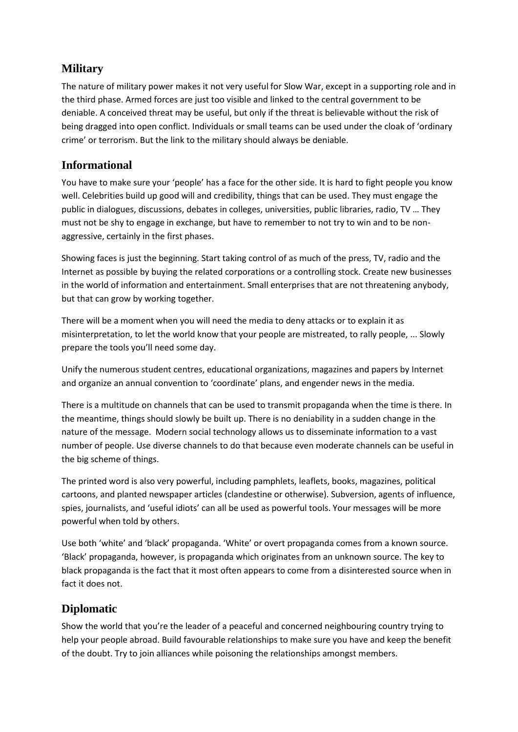#### **Military**

The nature of military power makes it not very useful for Slow War, except in a supporting role and in the third phase. Armed forces are just too visible and linked to the central government to be deniable. A conceived threat may be useful, but only if the threat is believable without the risk of being dragged into open conflict. Individuals or small teams can be used under the cloak of 'ordinary crime' or terrorism. But the link to the military should always be deniable.

#### **Informational**

You have to make sure your 'people' has a face for the other side. It is hard to fight people you know well. Celebrities build up good will and credibility, things that can be used. They must engage the public in dialogues, discussions, debates in colleges, universities, public libraries, radio, TV … They must not be shy to engage in exchange, but have to remember to not try to win and to be nonaggressive, certainly in the first phases.

Showing faces is just the beginning. Start taking control of as much of the press, TV, radio and the Internet as possible by buying the related corporations or a controlling stock. Create new businesses in the world of information and entertainment. Small enterprises that are not threatening anybody, but that can grow by working together.

There will be a moment when you will need the media to deny attacks or to explain it as misinterpretation, to let the world know that your people are mistreated, to rally people, ... Slowly prepare the tools you'll need some day.

Unify the numerous student centres, educational organizations, magazines and papers by Internet and organize an annual convention to 'coordinate' plans, and engender news in the media.

There is a multitude on channels that can be used to transmit propaganda when the time is there. In the meantime, things should slowly be built up. There is no deniability in a sudden change in the nature of the message. Modern social technology allows us to disseminate information to a vast number of people. Use diverse channels to do that because even moderate channels can be useful in the big scheme of things.

The printed word is also very powerful, including pamphlets, leaflets, books, magazines, political cartoons, and planted newspaper articles (clandestine or otherwise). Subversion, agents of influence, spies, journalists, and '[useful idiots](https://en.wikipedia.org/wiki/Useful_idiot)' can all be used as powerful tools. Your messages will be more powerful when told by others.

Use both 'white' and 'black' propaganda. 'White' or overt propaganda comes from a known source. 'Black' propaganda, however, is propaganda which originates from an unknown source. The key to black propaganda is the fact that it most often appears to come from a disinterested source when in fact it does not.

#### **Diplomatic**

Show the world that you're the leader of a peaceful and concerned neighbouring country trying to help your people abroad. Build favourable relationships to make sure you have and keep the benefit of the doubt. Try to join alliances while poisoning the relationships amongst members.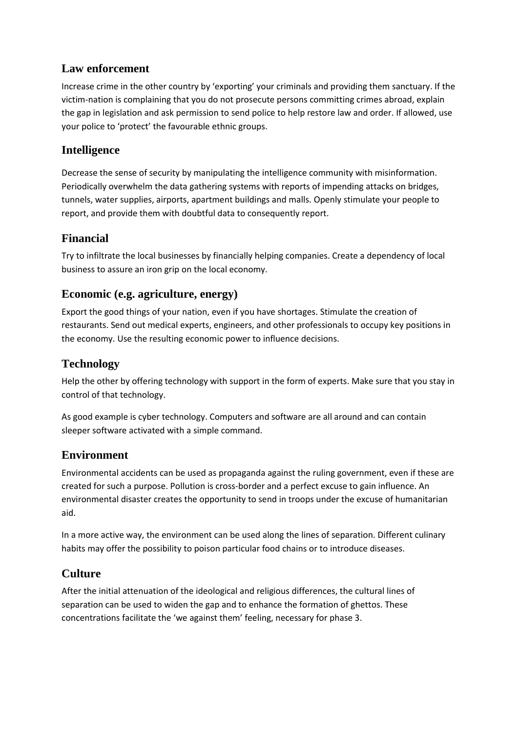#### **Law enforcement**

Increase crime in the other country by 'exporting' your criminals and providing them sanctuary. If the victim-nation is complaining that you do not prosecute persons committing crimes abroad, explain the gap in legislation and ask permission to send police to help restore law and order. If allowed, use your police to 'protect' the favourable ethnic groups.

#### **Intelligence**

Decrease the sense of security by manipulating the intelligence community with misinformation. Periodically overwhelm the data gathering systems with reports of impending attacks on bridges, tunnels, water supplies, airports, apartment buildings and malls. Openly stimulate your people to report, and provide them with doubtful data to consequently report.

#### **Financial**

Try to infiltrate the local businesses by financially helping companies. Create a dependency of local business to assure an iron grip on the local economy.

#### **Economic (e.g. agriculture, energy)**

Export the good things of your nation, even if you have shortages. Stimulate the creation of restaurants. Send out medical experts, engineers, and other professionals to occupy key positions in the economy. Use the resulting economic power to influence decisions.

#### **Technology**

Help the other by offering technology with support in the form of experts. Make sure that you stay in control of that technology.

As good example is cyber technology. Computers and software are all around and can contain sleeper software activated with a simple command.

#### **Environment**

Environmental accidents can be used as propaganda against the ruling government, even if these are created for such a purpose. Pollution is cross-border and a perfect excuse to gain influence. An environmental disaster creates the opportunity to send in troops under the excuse of humanitarian aid.

In a more active way, the environment can be used along the lines of separation. Different culinary habits may offer the possibility to poison particular food chains or to introduce diseases.

#### **Culture**

After the initial attenuation of the ideological and religious differences, the cultural lines of separation can be used to widen the gap and to enhance the formation of ghettos. These concentrations facilitate the 'we against them' feeling, necessary for phase 3.